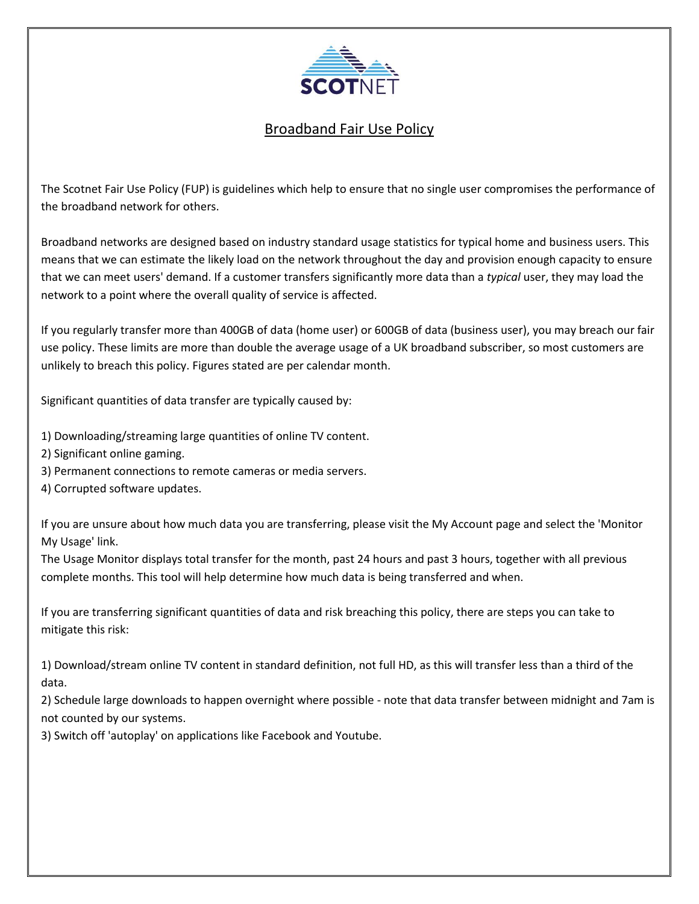

## Broadband Fair Use Policy

The Scotnet Fair Use Policy (FUP) is guidelines which help to ensure that no single user compromises the performance of the broadband network for others.

Broadband networks are designed based on industry standard usage statistics for typical home and business users. This means that we can estimate the likely load on the network throughout the day and provision enough capacity to ensure that we can meet users' demand. If a customer transfers significantly more data than a *typical* user, they may load the network to a point where the overall quality of service is affected.

If you regularly transfer more than 400GB of data (home user) or 600GB of data (business user), you may breach our fair use policy. These limits are more than double the average usage of a UK broadband subscriber, so most customers are unlikely to breach this policy. Figures stated are per calendar month.

Significant quantities of data transfer are typically caused by:

1) Downloading/streaming large quantities of online TV content.

2) Significant online gaming.

3) Permanent connections to remote cameras or media servers.

4) Corrupted software updates.

If you are unsure about how much data you are transferring, please visit the My Account page and select the 'Monitor My Usage' link.

The Usage Monitor displays total transfer for the month, past 24 hours and past 3 hours, together with all previous complete months. This tool will help determine how much data is being transferred and when.

If you are transferring significant quantities of data and risk breaching this policy, there are steps you can take to mitigate this risk:

1) Download/stream online TV content in standard definition, not full HD, as this will transfer less than a third of the data.

2) Schedule large downloads to happen overnight where possible - note that data transfer between midnight and 7am is not counted by our systems.

3) Switch off 'autoplay' on applications like Facebook and Youtube.